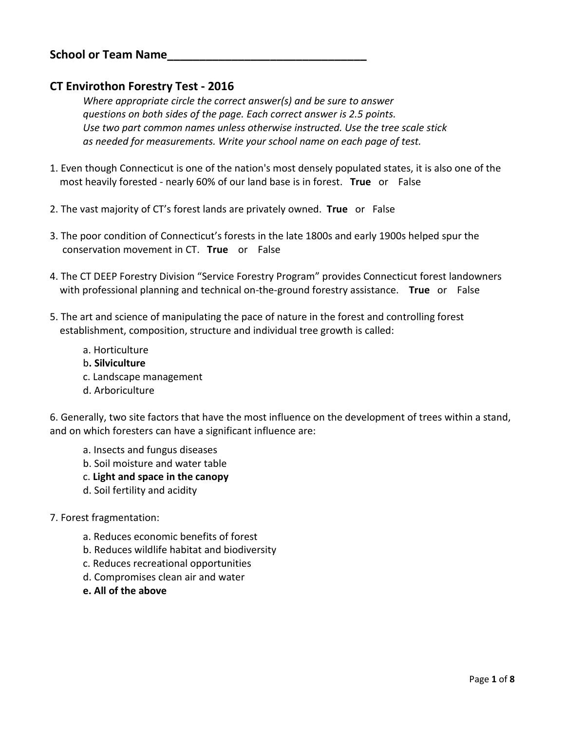## **CT Envirothon Forestry Test - 2016**

*Where appropriate circle the correct answer(s) and be sure to answer questions on both sides of the page. Each correct answer is 2.5 points. Use two part common names unless otherwise instructed. Use the tree scale stick as needed for measurements. Write your school name on each page of test.*

- 1. Even though Connecticut is one of the nation's most densely populated states, it is also one of the most heavily forested - nearly 60% of our land base is in forest. **True** or False
- 2. The vast majority of CT's forest lands are privately owned. **True** or False
- 3. The poor condition of Connecticut's forests in the late 1800s and early 1900s helped spur the conservation movement in CT. **True** or False
- 4. The CT DEEP Forestry Division "Service Forestry Program" provides Connecticut forest landowners with professional planning and technical on-the-ground forestry assistance. **True** or False
- 5. The art and science of manipulating the pace of nature in the forest and controlling forest establishment, composition, structure and individual tree growth is called:
	- a. Horticulture
	- b**. Silviculture**
	- c. Landscape management
	- d. Arboriculture

6. Generally, two site factors that have the most influence on the development of trees within a stand, and on which foresters can have a significant influence are:

- a. Insects and fungus diseases
- b. Soil moisture and water table
- c. **Light and space in the canopy**
- d. Soil fertility and acidity

#### 7. Forest fragmentation:

- a. Reduces economic benefits of forest
- b. Reduces wildlife habitat and biodiversity
- c. Reduces recreational opportunities
- d. Compromises clean air and water
- **e. All of the above**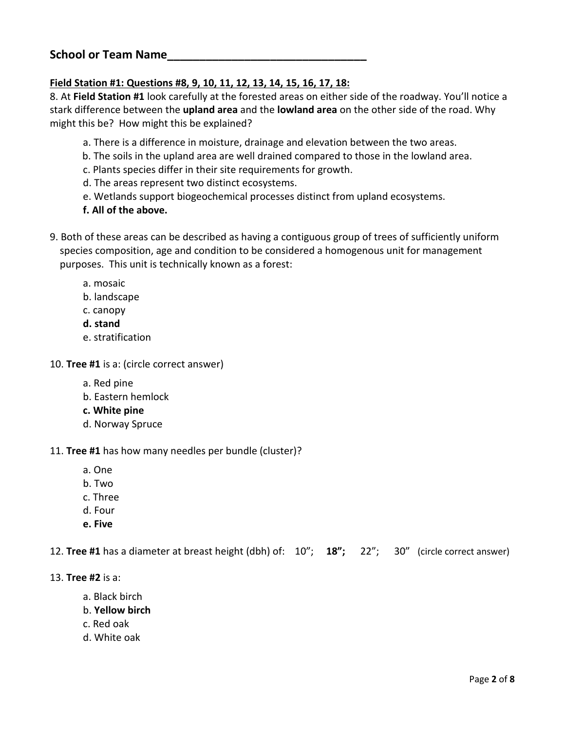### **Field Station #1: Questions #8, 9, 10, 11, 12, 13, 14, 15, 16, 17, 18:**

8. At **Field Station #1** look carefully at the forested areas on either side of the roadway. You'll notice a stark difference between the **upland area** and the **lowland area** on the other side of the road. Why might this be? How might this be explained?

- a. There is a difference in moisture, drainage and elevation between the two areas.
- b. The soils in the upland area are well drained compared to those in the lowland area.
- c. Plants species differ in their site requirements for growth.
- d. The areas represent two distinct ecosystems.
- e. Wetlands support biogeochemical processes distinct from upland ecosystems.
- **f. All of the above.**
- 9. Both of these areas can be described as having a contiguous group of trees of sufficiently uniform species composition, age and condition to be considered a homogenous unit for management purposes. This unit is technically known as a forest:
	- a. mosaic
	- b. landscape
	- c. canopy
	- **d. stand**
	- e. stratification
- 10. **Tree #1** is a: (circle correct answer)
	- a. Red pine
	- b. Eastern hemlock
	- **c. White pine**
	- d. Norway Spruce

#### 11. **Tree #1** has how many needles per bundle (cluster)?

- a. One
- b. Two
- c. Three
- d. Four
- **e. Five**

12. **Tree #1** has a diameter at breast height (dbh) of: 10"; **18";** 22"; 30" (circle correct answer)

- 13. **Tree #2** is a:
	- a. Black birch
	- b. **Yellow birch**
	- c. Red oak
	- d. White oak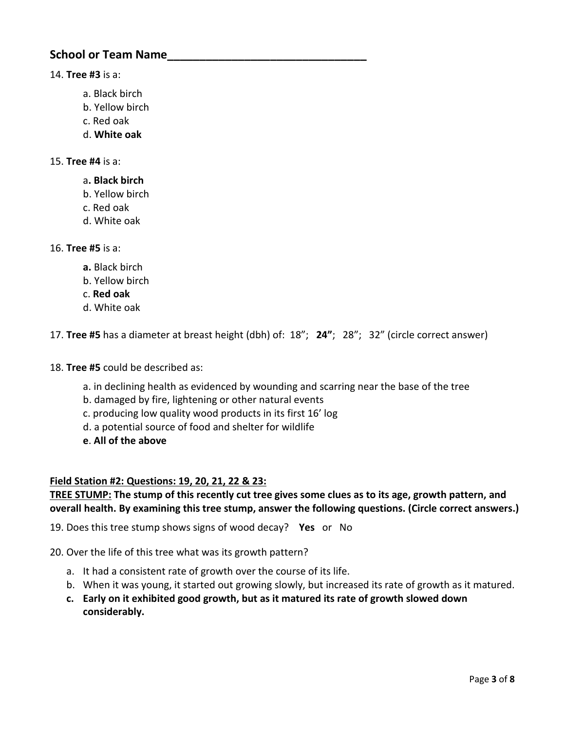#### 14. **Tree #3** is a:

- a. Black birch
- b. Yellow birch
- c. Red oak
- d. **White oak**

#### 15. **Tree #4** is a:

- a**. Black birch**
- b. Yellow birch
- c. Red oak
- d. White oak

### 16. **Tree #5** is a:

- **a.** Black birch
- b. Yellow birch
- c. **Red oak**
- d. White oak

17. **Tree #5** has a diameter at breast height (dbh) of: 18"; **24"**; 28"; 32" (circle correct answer)

- 18. **Tree #5** could be described as:
	- a. in declining health as evidenced by wounding and scarring near the base of the tree
	- b. damaged by fire, lightening or other natural events
	- c. producing low quality wood products in its first 16' log
	- d. a potential source of food and shelter for wildlife
	- **e**. **All of the above**

### **Field Station #2: Questions: 19, 20, 21, 22 & 23:**

### **TREE STUMP: The stump of this recently cut tree gives some clues as to its age, growth pattern, and overall health. By examining this tree stump, answer the following questions. (Circle correct answers.)**

19. Does this tree stump shows signs of wood decay? **Yes** or No

- 20. Over the life of this tree what was its growth pattern?
	- a. It had a consistent rate of growth over the course of its life.
	- b. When it was young, it started out growing slowly, but increased its rate of growth as it matured.
	- **c. Early on it exhibited good growth, but as it matured its rate of growth slowed down considerably.**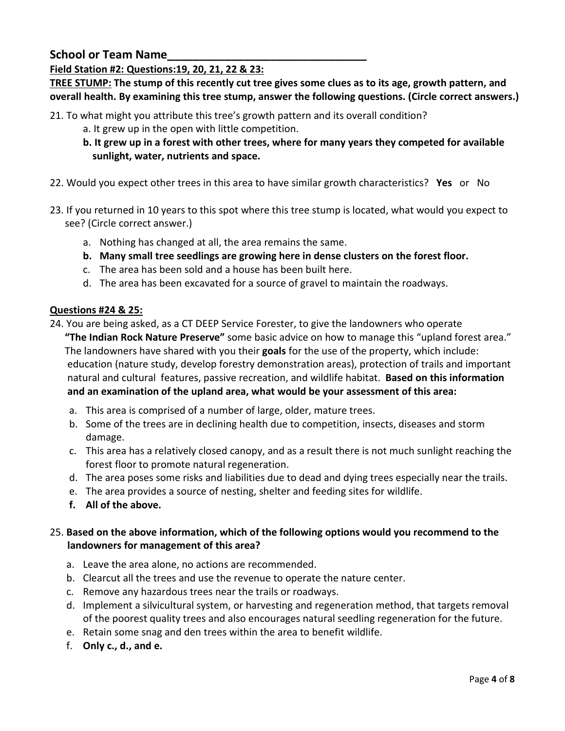### **Field Station #2: Questions:19, 20, 21, 22 & 23:**

**TREE STUMP: The stump of this recently cut tree gives some clues as to its age, growth pattern, and overall health. By examining this tree stump, answer the following questions. (Circle correct answers.)**

- 21. To what might you attribute this tree's growth pattern and its overall condition?
	- a. It grew up in the open with little competition.
	- **b. It grew up in a forest with other trees, where for many years they competed for available sunlight, water, nutrients and space.**
- 22. Would you expect other trees in this area to have similar growth characteristics? **Yes** or No
- 23. If you returned in 10 years to this spot where this tree stump is located, what would you expect to see? (Circle correct answer.)
	- a. Nothing has changed at all, the area remains the same.
	- **b. Many small tree seedlings are growing here in dense clusters on the forest floor.**
	- c. The area has been sold and a house has been built here.
	- d. The area has been excavated for a source of gravel to maintain the roadways.

#### **Questions #24 & 25:**

24. You are being asked, as a CT DEEP Service Forester, to give the landowners who operate **"The Indian Rock Nature Preserve"** some basic advice on how to manage this "upland forest area." The landowners have shared with you their **goals** for the use of the property, which include: education (nature study, develop forestry demonstration areas), protection of trails and important natural and cultural features, passive recreation, and wildlife habitat. **Based on this information and an examination of the upland area, what would be your assessment of this area:** 

- a. This area is comprised of a number of large, older, mature trees.
- b. Some of the trees are in declining health due to competition, insects, diseases and storm damage.
- c. This area has a relatively closed canopy, and as a result there is not much sunlight reaching the forest floor to promote natural regeneration.
- d. The area poses some risks and liabilities due to dead and dying trees especially near the trails.
- e. The area provides a source of nesting, shelter and feeding sites for wildlife.
- **f. All of the above.**

### 25. **Based on the above information, which of the following options would you recommend to the landowners for management of this area?**

- a. Leave the area alone, no actions are recommended.
- b. Clearcut all the trees and use the revenue to operate the nature center.
- c. Remove any hazardous trees near the trails or roadways.
- d. Implement a silvicultural system, or harvesting and regeneration method, that targets removal of the poorest quality trees and also encourages natural seedling regeneration for the future.
- e. Retain some snag and den trees within the area to benefit wildlife.
- f. **Only c., d., and e.**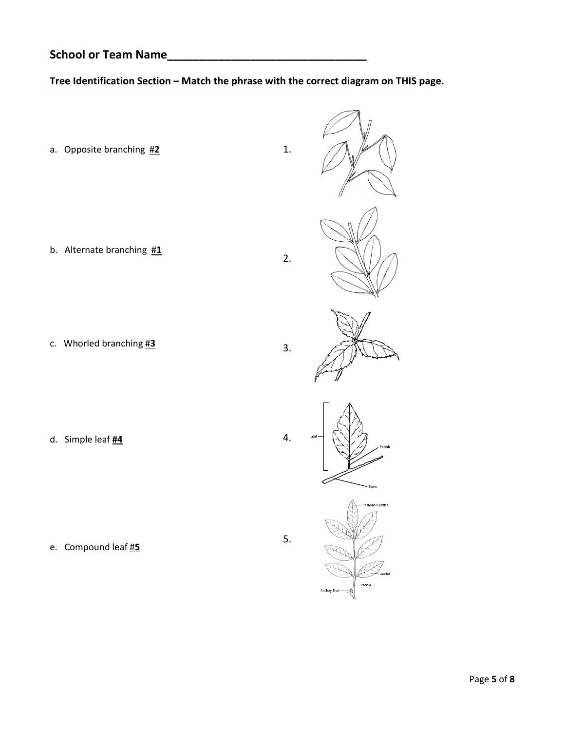# **Tree Identification Section – Match the phrase with the correct diagram on THIS page.**

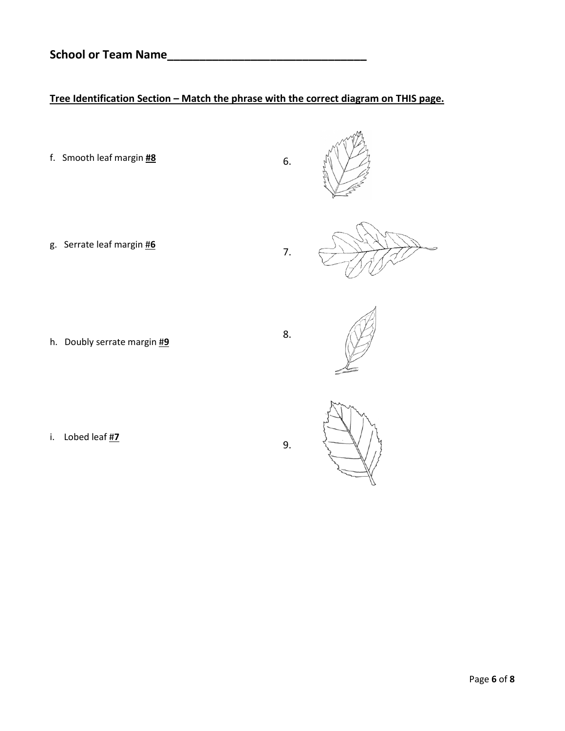# **Tree Identification Section – Match the phrase with the correct diagram on THIS page.**

f. Smooth leaf margin **#8** 6. g. Serrate leaf margin #**6** 7. h. Doubly serrate margin #**9** 8. i. Lobed leaf #**7**

9.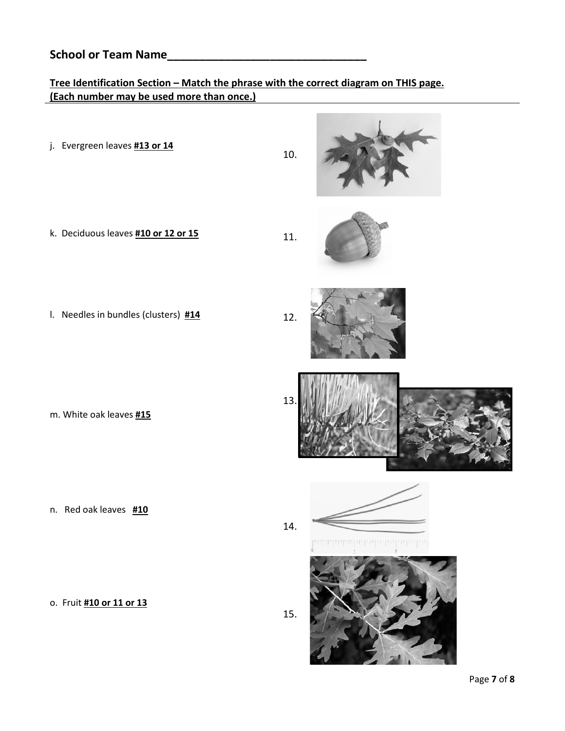# **Tree Identification Section – Match the phrase with the correct diagram on THIS page. (Each number may be used more than once.)**